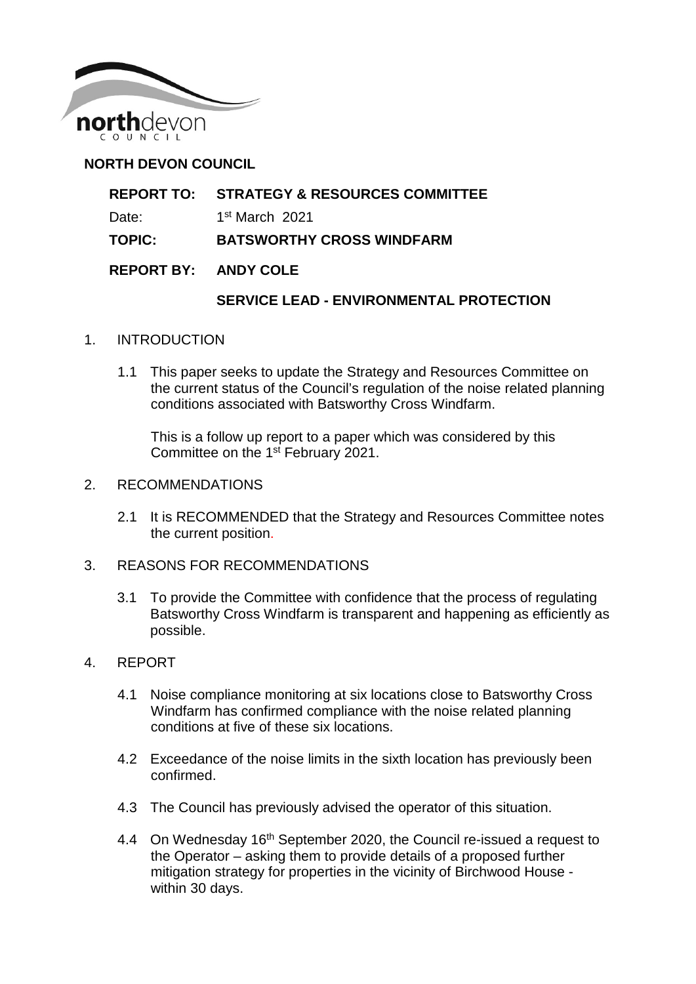

## **NORTH DEVON COUNCIL**

| <b>REPORT TO: STRATEGY &amp; RESOURCES COMMITTEE</b> |
|------------------------------------------------------|
|                                                      |

- Date: 1st March 2021
- **TOPIC: BATSWORTHY CROSS WINDFARM**

### **REPORT BY: ANDY COLE**

### **SERVICE LEAD - ENVIRONMENTAL PROTECTION**

- 1. INTRODUCTION
	- 1.1 This paper seeks to update the Strategy and Resources Committee on the current status of the Council's regulation of the noise related planning conditions associated with Batsworthy Cross Windfarm.

This is a follow up report to a paper which was considered by this Committee on the 1<sup>st</sup> February 2021.

- 2. RECOMMENDATIONS
	- 2.1 It is RECOMMENDED that the Strategy and Resources Committee notes the current position.
- 3. REASONS FOR RECOMMENDATIONS
	- 3.1 To provide the Committee with confidence that the process of regulating Batsworthy Cross Windfarm is transparent and happening as efficiently as possible.
- 4. REPORT
	- 4.1 Noise compliance monitoring at six locations close to Batsworthy Cross Windfarm has confirmed compliance with the noise related planning conditions at five of these six locations.
	- 4.2 Exceedance of the noise limits in the sixth location has previously been confirmed.
	- 4.3 The Council has previously advised the operator of this situation.
	- 4.4 On Wednesday 16<sup>th</sup> September 2020, the Council re-issued a request to the Operator – asking them to provide details of a proposed further mitigation strategy for properties in the vicinity of Birchwood House within 30 days.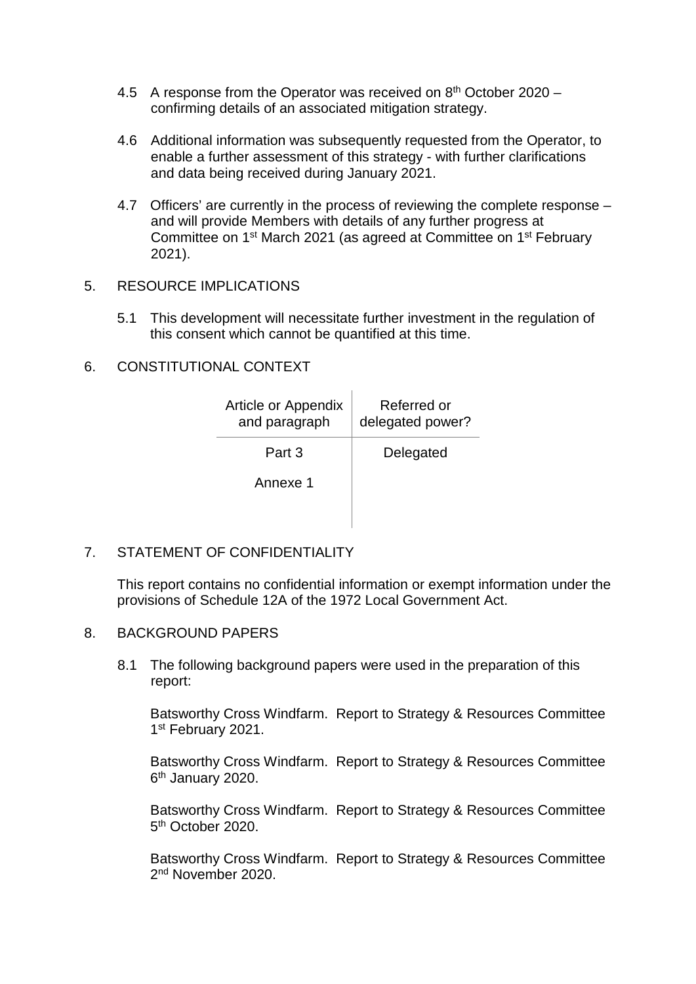- 4.5 A response from the Operator was received on  $8<sup>th</sup>$  October 2020 confirming details of an associated mitigation strategy.
- 4.6 Additional information was subsequently requested from the Operator, to enable a further assessment of this strategy - with further clarifications and data being received during January 2021.
- 4.7 Officers' are currently in the process of reviewing the complete response and will provide Members with details of any further progress at Committee on 1st March 2021 (as agreed at Committee on 1st February 2021).

#### 5. RESOURCE IMPLICATIONS

5.1 This development will necessitate further investment in the regulation of this consent which cannot be quantified at this time.

### 6. CONSTITUTIONAL CONTEXT

| Article or Appendix<br>and paragraph | Referred or<br>delegated power? |
|--------------------------------------|---------------------------------|
| Part 3                               | Delegated                       |
| Annexe 1                             |                                 |
|                                      |                                 |

### 7. STATEMENT OF CONFIDENTIALITY

This report contains no confidential information or exempt information under the provisions of Schedule 12A of the 1972 Local Government Act.

### 8. BACKGROUND PAPERS

8.1 The following background papers were used in the preparation of this report:

Batsworthy Cross Windfarm. Report to Strategy & Resources Committee 1st February 2021.

Batsworthy Cross Windfarm. Report to Strategy & Resources Committee 6<sup>th</sup> January 2020.

Batsworthy Cross Windfarm. Report to Strategy & Resources Committee 5th October 2020.

Batsworthy Cross Windfarm. Report to Strategy & Resources Committee 2<sup>nd</sup> November 2020.